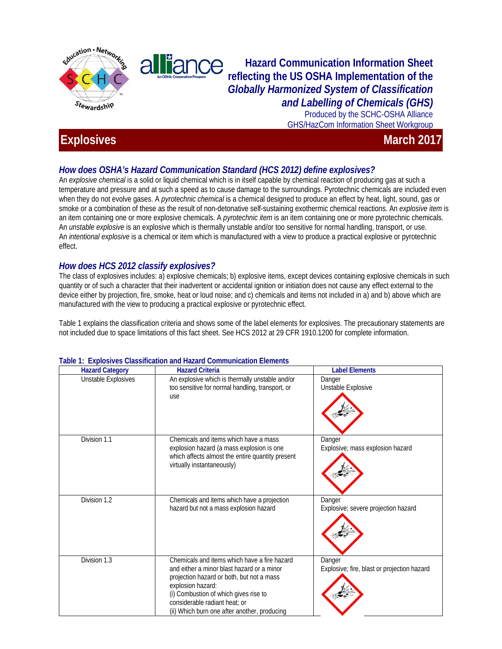

alliance **Hazard Communication Information Sheet reflecting the US OSHA Implementation of the**  *Globally Harmonized System of Classification and Labelling of Chemicals (GHS)* 

Produced by the SCHC-OSHA Alliance GHS/HazCom Information Sheet Workgroup

# **Information Community Community Community Community Community Community Community Community Community Community Community Community Community Community Community Community Community Community Community Community Community**

## *How does OSHA's Hazard Communication Standard (HCS 2012) define explosives?*

An *explosive chemical* is a solid or liquid chemical which is in itself capable by chemical reaction of producing gas at such a temperature and pressure and at such a speed as to cause damage to the surroundings. Pyrotechnic chemicals are included even when they do not evolve gases. A *pyrotechnic chemical* is a chemical designed to produce an effect by heat, light, sound, gas or smoke or a combination of these as the result of non-detonative self-sustaining exothermic chemical reactions. An *explosive item* is an item containing one or more explosive chemicals. A *pyrotechnic item* is an item containing one or more pyrotechnic chemicals. An *unstable explosive* is an explosive which is thermally unstable and/or too sensitive for normal handling, transport, or use. An *intentional explosive* is a chemical or item which is manufactured with a view to produce a practical explosive or pyrotechnic effect.

### *How does HCS 2012 classify explosives?*

The class of explosives includes: a) explosive chemicals; b) explosive items, except devices containing explosive chemicals in such quantity or of such a character that their inadvertent or accidental ignition or initiation does not cause any effect external to the device either by projection, fire, smoke, heat or loud noise; and c) chemicals and items not included in a) and b) above which are manufactured with the view to producing a practical explosive or pyrotechnic effect.

Table 1 explains the classification criteria and shows some of the label elements for explosives. The precautionary statements are not included due to space limitations of this fact sheet. See HCS 2012 at 29 CFR 1910.1200 for complete information.

| <b>Hazard Category</b> | <b>Hazard Criteria</b>                                                                                                                                                                                                                                                                 | <b>Label Elements</b>                                 |
|------------------------|----------------------------------------------------------------------------------------------------------------------------------------------------------------------------------------------------------------------------------------------------------------------------------------|-------------------------------------------------------|
| Unstable Explosives    | An explosive which is thermally unstable and/or<br>too sensitive for normal handling, transport, or<br>use                                                                                                                                                                             | Danger<br>Unstable Explosive                          |
| Division 1.1           | Chemicals and items which have a mass<br>explosion hazard (a mass explosion is one<br>which affects almost the entire quantity present<br>virtually instantaneously)                                                                                                                   | Danger<br>Explosive; mass explosion hazard            |
| Division 1.2           | Chemicals and items which have a projection<br>hazard but not a mass explosion hazard                                                                                                                                                                                                  | Danger<br>Explosive; severe projection hazard         |
| Division 1.3           | Chemicals and items which have a fire hazard<br>and either a minor blast hazard or a minor<br>projection hazard or both, but not a mass<br>explosion hazard:<br>(i) Combustion of which gives rise to<br>considerable radiant heat; or<br>(ii) Which burn one after another, producing | Danger<br>Explosive; fire, blast or projection hazard |

#### **Table 1: Explosives Classification and Hazard Communication Elements**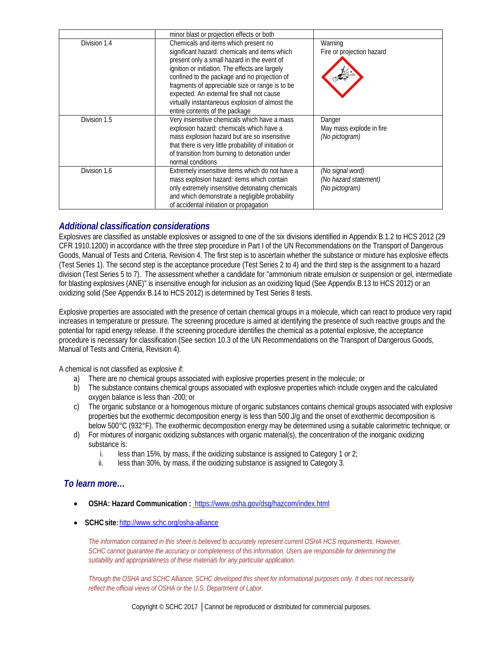|              | minor blast or projection effects or both                                                                                                                                                                                                                                                                                                                                                                                     |                                                             |
|--------------|-------------------------------------------------------------------------------------------------------------------------------------------------------------------------------------------------------------------------------------------------------------------------------------------------------------------------------------------------------------------------------------------------------------------------------|-------------------------------------------------------------|
| Division 1.4 | Chemicals and items which present no<br>significant hazard: chemicals and items which<br>present only a small hazard in the event of<br>ignition or initiation. The effects are largely<br>confined to the package and no projection of<br>fragments of appreciable size or range is to be<br>expected. An external fire shall not cause<br>virtually instantaneous explosion of almost the<br>entire contents of the package | Warning<br>Fire or projection hazard                        |
| Division 1.5 | Very insensitive chemicals which have a mass<br>explosion hazard: chemicals which have a<br>mass explosion hazard but are so insensitive<br>that there is very little probability of initiation or<br>of transition from burning to detonation under<br>normal conditions                                                                                                                                                     | Danger<br>May mass explode in fire<br>(No pictogram)        |
| Division 1.6 | Extremely insensitive items which do not have a<br>mass explosion hazard: items which contain<br>only extremely insensitive detonating chemicals<br>and which demonstrate a negligible probability<br>of accidental initiation or propagation                                                                                                                                                                                 | (No signal word)<br>(No hazard statement)<br>(No pictogram) |

#### *Additional classification considerations*

Explosives are classified as unstable explosives or assigned to one of the six divisions identified in Appendix B.1.2 to HCS 2012 (29 CFR 1910.1200) in accordance with the three step procedure in Part I of the UN Recommendations on the Transport of Dangerous Goods, Manual of Tests and Criteria, Revision 4. The first step is to ascertain whether the substance or mixture has explosive effects (Test Series 1). The second step is the acceptance procedure (Test Series 2 to 4) and the third step is the assignment to a hazard division (Test Series 5 to 7). The assessment whether a candidate for "ammonium nitrate emulsion or suspension or gel, intermediate for blasting explosives (ANE)" is insensitive enough for inclusion as an oxidizing liquid (See Appendix B.13 to HCS 2012) or an oxidizing solid (See Appendix B.14 to HCS 2012) is determined by Test Series 8 tests.

Explosive properties are associated with the presence of certain chemical groups in a molecule, which can react to produce very rapid increases in temperature or pressure. The screening procedure is aimed at identifying the presence of such reactive groups and the potential for rapid energy release. If the screening procedure identifies the chemical as a potential explosive, the acceptance procedure is necessary for classification (See section 10.3 of the UN Recommendations on the Transport of Dangerous Goods, Manual of Tests and Criteria, Revision 4).

A chemical is not classified as explosive if:

- a) There are no chemical groups associated with explosive properties present in the molecule; or
- b) The substance contains chemical groups associated with explosive properties which include oxygen and the calculated oxygen balance is less than -200; or
- c) The organic substance or a homogenous mixture of organic substances contains chemical groups associated with explosive properties but the exothermic decomposition energy is less than 500 J/g and the onset of exothermic decomposition is below 500°C (932°F). The exothermic decomposition energy may be determined using a suitable calorimetric technique; or
- d) For mixtures of inorganic oxidizing substances with organic material(s), the concentration of the inorganic oxidizing substance is:
	- i. less than 15%, by mass, if the oxidizing substance is assigned to Category 1 or 2;
	- ii. less than 30%, by mass, if the oxidizing substance is assigned to Category 3.

#### *To learn more…*

- **OSHA: Hazard Communication :** <https://www.osha.gov/dsg/hazcom/index.html>
- **SCHCsite:**<http://www.schc.org/osha-alliance>

*The information contained in this sheet is believed to accurately represent current OSHA HCS requirements. However, SCHC cannot guarantee the accuracy or completeness of this information. Users are responsible for determining the suitability and appropriateness of these materials for any particular application.*

*Through the OSHA and SCHC Alliance, SCHC developed this sheet for informational purposes only. It does not necessarily reflect the official views of OSHA or the U.S. Department of Labor.*

Copyright © SCHC 2017 │Cannot be reproduced or distributed for commercial purposes.